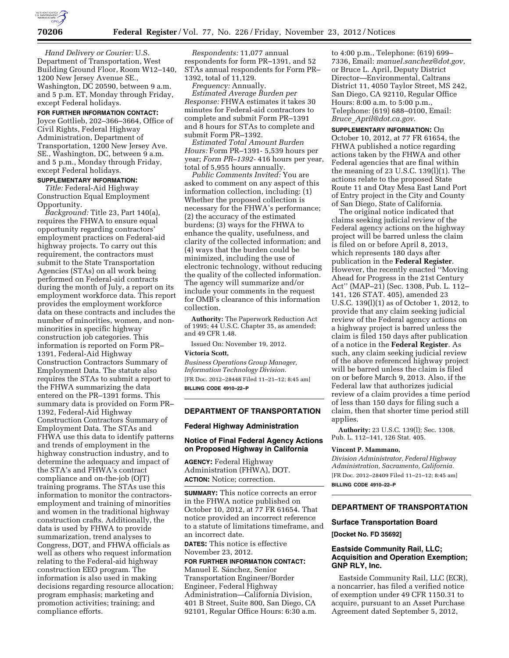

*Hand Delivery or Courier:* U.S. Department of Transportation, West Building Ground Floor, Room W12–140, 1200 New Jersey Avenue SE., Washington, DC 20590, between 9 a.m. and 5 p.m. ET, Monday through Friday, except Federal holidays.

# **FOR FURTHER INFORMATION CONTACT:**

Joyce Gottlieb, 202–366–3664, Office of Civil Rights, Federal Highway Administration, Department of Transportation, 1200 New Jersey Ave. SE., Washington, DC, between 9 a.m. and 5 p.m., Monday through Friday, except Federal holidays.

## **SUPPLEMENTARY INFORMATION:**

*Title:* Federal-Aid Highway Construction Equal Employment Opportunity.

*Background:* Title 23, Part 140(a), requires the FHWA to ensure equal opportunity regarding contractors' employment practices on Federal-aid highway projects. To carry out this requirement, the contractors must submit to the State Transportation Agencies (STAs) on all work being performed on Federal-aid contracts during the month of July, a report on its employment workforce data. This report provides the employment workforce data on these contracts and includes the number of minorities, women, and nonminorities in specific highway construction job categories. This information is reported on Form PR– 1391, Federal-Aid Highway Construction Contractors Summary of Employment Data. The statute also requires the STAs to submit a report to the FHWA summarizing the data entered on the PR–1391 forms. This summary data is provided on Form PR– 1392, Federal-Aid Highway Construction Contractors Summary of Employment Data. The STAs and FHWA use this data to identify patterns and trends of employment in the highway construction industry, and to determine the adequacy and impact of the STA's and FHWA's contract compliance and on-the-job (OJT) training programs. The STAs use this information to monitor the contractorsemployment and training of minorities and women in the traditional highway construction crafts. Additionally, the data is used by FHWA to provide summarization, trend analyses to Congress, DOT, and FHWA officials as well as others who request information relating to the Federal-aid highway construction EEO program. The information is also used in making decisions regarding resource allocation; program emphasis; marketing and promotion activities; training; and compliance efforts.

*Respondents:* 11,077 annual respondents for form PR–1391, and 52 STAs annual respondents for Form PR– 1392, total of 11,129.

*Frequency:* Annually.

*Estimated Average Burden per Response:* FHWA estimates it takes 30 minutes for Federal-aid contractors to complete and submit Form PR–1391 and 8 hours for STAs to complete and submit Form PR–1392.

*Estimated Total Amount Burden Hours:* Form PR–1391- 5,539 hours per year; *Form PR–1392-* 416 hours per year, total of 5,955 hours annually.

*Public Comments Invited:* You are asked to comment on any aspect of this information collection, including: (1) Whether the proposed collection is necessary for the FHWA's performance; (2) the accuracy of the estimated burdens; (3) ways for the FHWA to enhance the quality, usefulness, and clarity of the collected information; and (4) ways that the burden could be minimized, including the use of electronic technology, without reducing the quality of the collected information. The agency will summarize and/or include your comments in the request for OMB's clearance of this information collection.

**Authority:** The Paperwork Reduction Act of 1995; 44 U.S.C. Chapter 35, as amended; and 49 CFR 1.48.

Issued On: November 19, 2012.

## **Victoria Scott,**

*Business Operations Group Manager, Information Technology Division.*  [FR Doc. 2012–28448 Filed 11–21–12; 8:45 am] **BILLING CODE 4910–22–P** 

# **DEPARTMENT OF TRANSPORTATION**

#### **Federal Highway Administration**

#### **Notice of Final Federal Agency Actions on Proposed Highway in California**

**AGENCY:** Federal Highway Administration (FHWA), DOT. **ACTION:** Notice; correction.

**SUMMARY:** This notice corrects an error in the FHWA notice published on October 10, 2012, at 77 FR 61654. That notice provided an incorrect reference to a statute of limitations timeframe, and an incorrect date.

**DATES:** This notice is effective November 23, 2012.

# **FOR FURTHER INFORMATION CONTACT:**

Manuel E. Sánchez, Senior Transportation Engineer/Border Engineer, Federal Highway Administration—California Division, 401 B Street, Suite 800, San Diego, CA 92101, Regular Office Hours: 6:30 a.m.

to 4:00 p.m., Telephone: (619) 699– 7336, Email: *[manuel.sanchez@dot.gov,](mailto:manuel.sanchez@dot.gov)*  or Bruce L. April, Deputy District Director—Environmental, Caltrans District 11, 4050 Taylor Street, MS 242, San Diego, CA 92110, Regular Office Hours: 8:00 a.m. to 5:00 p.m., Telephone: (619) 688–0100, Email: *Bruce*\_*[April@dot.ca.gov.](mailto:Bruce_April@dot.ca.gov)* 

**SUPPLEMENTARY INFORMATION:** On October 10, 2012, at 77 FR 61654, the FHWA published a notice regarding actions taken by the FHWA and other Federal agencies that are final within the meaning of 23 U.S.C. 139(l)(1). The actions relate to the proposed State Route 11 and Otay Mesa East Land Port of Entry project in the City and County of San Diego, State of California.

The original notice indicated that claims seeking judicial review of the Federal agency actions on the highway project will be barred unless the claim is filed on or before April 8, 2013, which represents 180 days after publication in the **Federal Register**. However, the recently enacted ''Moving Ahead for Progress in the 21st Century Act'' (MAP–21) (Sec. 1308, Pub. L. 112– 141, 126 STAT. 405), amended 23 U.S.C. 139(l)(1) as of October 1, 2012, to provide that any claim seeking judicial review of the Federal agency actions on a highway project is barred unless the claim is filed 150 days after publication of a notice in the **Federal Register**. As such, any claim seeking judicial review of the above referenced highway project will be barred unless the claim is filed on or before March 9, 2013. Also, if the Federal law that authorizes judicial review of a claim provides a time period of less than 150 days for filing such a claim, then that shorter time period still applies.

**Authority:** 23 U.S.C. 139(l); Sec. 1308, Pub. L. 112–141, 126 Stat. 405.

#### **Vincent P. Mammano,**

*Division Administrator, Federal Highway Administration, Sacramento, California.*  [FR Doc. 2012–28409 Filed 11–21–12; 8:45 am] **BILLING CODE 4910–22–P** 

# **DEPARTMENT OF TRANSPORTATION**

#### **Surface Transportation Board**

**[Docket No. FD 35692]** 

#### **Eastside Community Rail, LLC; Acquisition and Operation Exemption; GNP RLY, Inc.**

Eastside Community Rail, LLC (ECR), a noncarrier, has filed a verified notice of exemption under 49 CFR 1150.31 to acquire, pursuant to an Asset Purchase Agreement dated September 5, 2012,